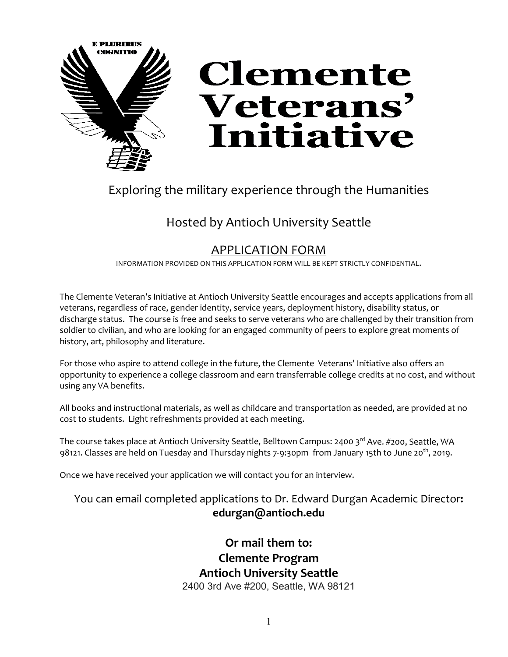

## Exploring the military experience through the Humanities

# Hosted by Antioch University Seattle

## APPLICATION FORM

INFORMATION PROVIDED ON THIS APPLICATION FORM WILL BE KEPT STRICTLY CONFIDENTIAL.

The Clemente Veteran's Initiative at Antioch University Seattle encourages and accepts applications from all veterans, regardless of race, gender identity, service years, deployment history, disability status, or discharge status. The course is free and seeks to serve veterans who are challenged by their transition from soldier to civilian, and who are looking for an engaged community of peers to explore great moments of history, art, philosophy and literature.

For those who aspire to attend college in the future, the Clemente Veterans' Initiative also offers an opportunity to experience a college classroom and earn transferrable college credits at no cost, and without using any VA benefits.

All books and instructional materials, as well as childcare and transportation as needed, are provided at no cost to students. Light refreshments provided at each meeting.

The course takes place at Antioch University Seattle, Belltown Campus: 2400 3rd Ave. #200, Seattle, WA 98121. Classes are held on Tuesday and Thursday nights 7-9:30pm from January 15th to June 20<sup>th</sup>, 2019.

Once we have received your application we will contact you for an interview.

### You can email completed applications to Dr. Edward Durgan Academic Director**: edurgan@antioch.edu**

**Or mail them to: Clemente Program Antioch University Seattle**  2400 3rd Ave #200, Seattle, WA 98121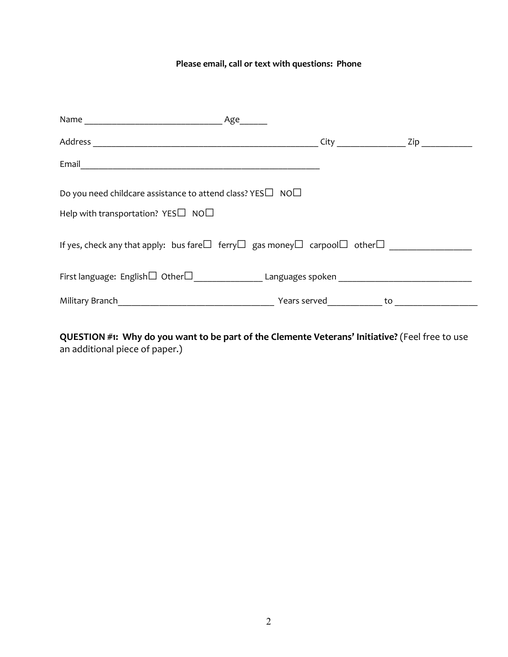#### **Please email, call or text with questions: Phone**

| Email 2008 - 2008 - 2008 - 2008 - 2019 - 2019 - 2019 - 2019 - 2019 - 2019 - 2019 - 2019 - 2019 - 2019 - 2019 -                                                                                                                 |  |  |  |
|--------------------------------------------------------------------------------------------------------------------------------------------------------------------------------------------------------------------------------|--|--|--|
| Do you need childcare assistance to attend class? YES $\Box$ NO $\Box$<br>Help with transportation? $YES\Box$ NO $\Box$                                                                                                        |  |  |  |
| If yes, check any that apply: bus fare $\square$ ferry $\square$ gas money $\square$ carpool $\square$ other $\square$                                                                                                         |  |  |  |
|                                                                                                                                                                                                                                |  |  |  |
| Military Branch No. 2008 and 2009 Military Branch New Years served to to the contract of the contract of the contract of the contract of the contract of the contract of the contract of the contract of the contract of the c |  |  |  |
|                                                                                                                                                                                                                                |  |  |  |

**QUESTION #1: Why do you want to be part of the Clemente Veterans' Initiative?** (Feel free to use an additional piece of paper.)